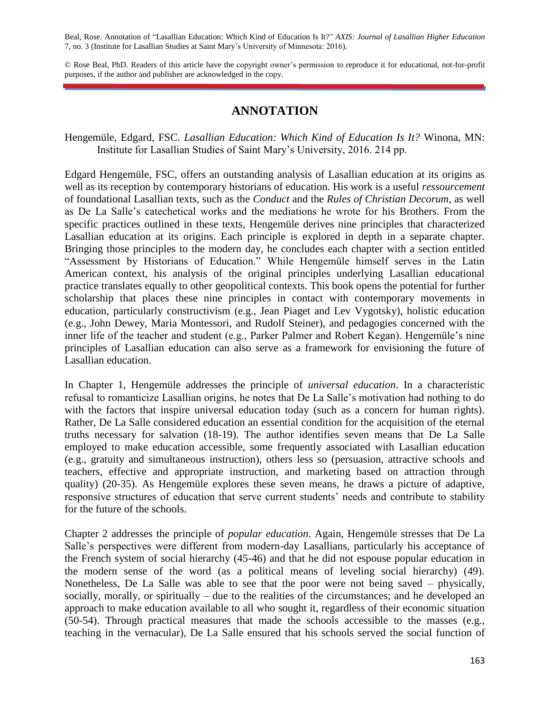Beal, Rose. Annotation of "Lasallian Education: Which Kind of Education Is It?" *AXIS: Journal of Lasallian Higher Education*  7, no. 3 (Institute for Lasallian Studies at Saint Mary's University of Minnesota: 2016).

© Rose Beal, PhD. Readers of this article have the copyright owner's permission to reproduce it for educational, not-for-profit purposes, if the author and publisher are acknowledged in the copy.

## **ANNOTATION**

Hengemüle, Edgard, FSC. *Lasallian Education: Which Kind of Education Is It?* Winona, MN: Institute for Lasallian Studies of Saint Mary's University, 2016. 214 pp.

Edgard Hengemüle, FSC, offers an outstanding analysis of Lasallian education at its origins as well as its reception by contemporary historians of education. His work is a useful *ressourcement*  of foundational Lasallian texts, such as the *Conduct* and the *Rules of Christian Decorum*, as well as De La Salle's catechetical works and the mediations he wrote for his Brothers. From the specific practices outlined in these texts, Hengemüle derives nine principles that characterized Lasallian education at its origins. Each principle is explored in depth in a separate chapter. Bringing those principles to the modern day, he concludes each chapter with a section entitled "Assessment by Historians of Education." While Hengemüle himself serves in the Latin American context, his analysis of the original principles underlying Lasallian educational practice translates equally to other geopolitical contexts. This book opens the potential for further scholarship that places these nine principles in contact with contemporary movements in education, particularly constructivism (e.g., Jean Piaget and Lev Vygotsky), holistic education (e.g., John Dewey, Maria Montessori, and Rudolf Steiner), and pedagogies concerned with the inner life of the teacher and student (e.g., Parker Palmer and Robert Kegan). Hengemüle's nine principles of Lasallian education can also serve as a framework for envisioning the future of Lasallian education.

In Chapter 1, Hengemüle addresses the principle of *universal education*. In a characteristic refusal to romanticize Lasallian origins, he notes that De La Salle's motivation had nothing to do with the factors that inspire universal education today (such as a concern for human rights). Rather, De La Salle considered education an essential condition for the acquisition of the eternal truths necessary for salvation (18-19). The author identifies seven means that De La Salle employed to make education accessible, some frequently associated with Lasallian education (e.g., gratuity and simultaneous instruction), others less so (persuasion, attractive schools and teachers, effective and appropriate instruction, and marketing based on attraction through quality) (20-35). As Hengemüle explores these seven means, he draws a picture of adaptive, responsive structures of education that serve current students' needs and contribute to stability for the future of the schools.

Chapter 2 addresses the principle of *popular education*. Again, Hengemüle stresses that De La Salle's perspectives were different from modern-day Lasallians, particularly his acceptance of the French system of social hierarchy (45-46) and that he did not espouse popular education in the modern sense of the word (as a political means of leveling social hierarchy) (49). Nonetheless, De La Salle was able to see that the poor were not being saved – physically, socially, morally, or spiritually – due to the realities of the circumstances; and he developed an approach to make education available to all who sought it, regardless of their economic situation (50-54). Through practical measures that made the schools accessible to the masses (e.g., teaching in the vernacular), De La Salle ensured that his schools served the social function of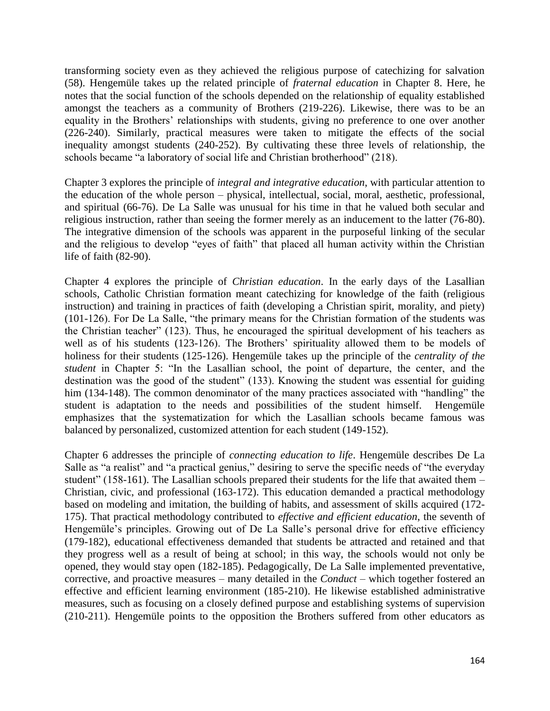transforming society even as they achieved the religious purpose of catechizing for salvation (58). Hengemüle takes up the related principle of *fraternal education* in Chapter 8. Here, he notes that the social function of the schools depended on the relationship of equality established amongst the teachers as a community of Brothers (219-226). Likewise, there was to be an equality in the Brothers' relationships with students, giving no preference to one over another (226-240). Similarly, practical measures were taken to mitigate the effects of the social inequality amongst students (240-252). By cultivating these three levels of relationship, the schools became "a laboratory of social life and Christian brotherhood" (218).

Chapter 3 explores the principle of *integral and integrative education*, with particular attention to the education of the whole person – physical, intellectual, social, moral, aesthetic, professional, and spiritual (66-76). De La Salle was unusual for his time in that he valued both secular and religious instruction, rather than seeing the former merely as an inducement to the latter (76-80). The integrative dimension of the schools was apparent in the purposeful linking of the secular and the religious to develop "eyes of faith" that placed all human activity within the Christian life of faith (82-90).

Chapter 4 explores the principle of *Christian education*. In the early days of the Lasallian schools, Catholic Christian formation meant catechizing for knowledge of the faith (religious instruction) and training in practices of faith (developing a Christian spirit, morality, and piety) (101-126). For De La Salle, "the primary means for the Christian formation of the students was the Christian teacher" (123). Thus, he encouraged the spiritual development of his teachers as well as of his students (123-126). The Brothers' spirituality allowed them to be models of holiness for their students (125-126). Hengemüle takes up the principle of the *centrality of the student* in Chapter 5: "In the Lasallian school, the point of departure, the center, and the destination was the good of the student" (133). Knowing the student was essential for guiding him (134-148). The common denominator of the many practices associated with "handling" the student is adaptation to the needs and possibilities of the student himself. Hengemüle emphasizes that the systematization for which the Lasallian schools became famous was balanced by personalized, customized attention for each student (149-152).

Chapter 6 addresses the principle of *connecting education to life*. Hengemüle describes De La Salle as "a realist" and "a practical genius," desiring to serve the specific needs of "the everyday student" (158-161). The Lasallian schools prepared their students for the life that awaited them – Christian, civic, and professional (163-172). This education demanded a practical methodology based on modeling and imitation, the building of habits, and assessment of skills acquired (172- 175). That practical methodology contributed to *effective and efficient education*, the seventh of Hengemüle's principles. Growing out of De La Salle's personal drive for effective efficiency (179-182), educational effectiveness demanded that students be attracted and retained and that they progress well as a result of being at school; in this way, the schools would not only be opened, they would stay open (182-185). Pedagogically, De La Salle implemented preventative, corrective, and proactive measures – many detailed in the *Conduct* – which together fostered an effective and efficient learning environment (185-210). He likewise established administrative measures, such as focusing on a closely defined purpose and establishing systems of supervision (210-211). Hengemüle points to the opposition the Brothers suffered from other educators as